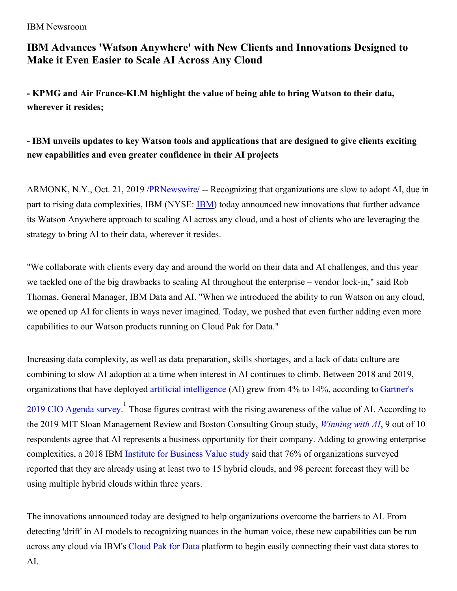IBM Newsroom

# **IBM Advances 'Watson Anywhere' with New Clients and Innovations Designed to Make it Even Easier to Scale AI Across Any Cloud**

**- KPMG and Air France-KLM highlight the value of being able to bring Watson to their data, wherever it resides;**

# **- IBM unveils updates to key Watson tools and applications that are designed to give clients exciting new capabilities and even greater confidence in their AI projects**

ARMONK, N.Y., Oct. 21, 2019 [/PRNewswire](http://www.prnewswire.com/)/ -- Recognizing that organizations are slow to adopt AI, due in part to rising data complexities, IBM (NYSE: [IBM](https://c212.net/c/link/?t=0&l=en&o=2616407-1&h=3145512139&u=http%3A%2F%2Fwww.ibm.com%2Finvestor&a=IBM)) today announced new innovations that further advance its Watson Anywhere approach to scaling AI across any cloud, and a host of clients who are leveraging the strategy to bring AI to their data, wherever it resides.

"We collaborate with clients every day and around the world on their data and AI challenges, and this year we tackled one of the big drawbacks to scaling AI throughout the enterprise – vendor lock-in," said Rob Thomas, General Manager, IBM Data and AI. "When we introduced the ability to run Watson on any cloud, we opened up AI for clients in ways never imagined. Today, we pushed that even further adding even more capabilities to our Watson products running on Cloud Pak for Data."

Increasing data complexity, as well as data preparation, skills shortages, and a lack of data culture are combining to slow AI adoption at a time when interest in AI continues to climb. Between 2018 and 2019, [organizations](https://c212.net/c/link/?t=0&l=en&o=2616407-1&h=2962258038&u=https%3A%2F%2Fwww.gartner.com%2Fen%2Fnewsroom%2Fpress-releases%2F2018-10-16-gartner-survey-of-more-than-3000-cios-reveals-that-enterprises-are-entering-the-third-era-of-it&a=Gartner%27s+2019+CIO+Agenda+survey) that have deployed artificial [intelligence](https://c212.net/c/link/?t=0&l=en&o=2616407-1&h=3026040446&u=https%3A%2F%2Fwww.gartner.com%2Fsmarterwithgartner%2Ftop-3-benefits-of-ai-projects%2F&a=artificial+intelligence) (AI) grew from 4% to 14%, according to Gartner's 2019 CIO Agenda survey.<sup>1</sup> Those figures contrast with the rising awareness of the value of AI. According to the 2019 MIT Sloan Management Review and Boston Consulting Group study, *[Winning](https://c212.net/c/link/?t=0&l=en&o=2616407-1&h=2160798874&u=https%3A%2F%2Fsloanreview.mit.edu%2Fprojects%2Fwinning-with-ai%2F&a=Winning+with+AI) with AI*, 9 out of 10 respondents agree that AI represents a business opportunity for their company. Adding to growing enterprise complexities, a 2018 IBM Institute for [Business](https://c212.net/c/link/?t=0&l=en&o=2616407-1&h=377159474&u=https%3A%2F%2Fwww.ibm.com%2Fthought-leadership%2Finstitute-business-value%2Freport%2Fmulticloud&a=Institute+for+Business+Value+study) Value study said that 76% of organizations surveyed reported that they are already using at least two to 15 hybrid clouds, and 98 percent forecast they will be using multiple hybrid clouds within three years.

The innovations announced today are designed to help organizations overcome the barriers to AI. From detecting 'drift' in AI models to recognizing nuances in the human voice, these new capabilities can be run across any cloud via IBM's [Cloud](https://c212.net/c/link/?t=0&l=en&o=2616407-1&h=3117184412&u=https%3A%2F%2Fwww.ibm.com%2Fproducts%2Fcloud-pak-for-data%3Fcm_mmc%3DSearch_Google-_-Hybrid%2BCloud_Cloud%2BPrivate%2Bfor%2BData-_-WW_NA-_-%252Bcloud%2520%252Bpak%2520for%2520%252Bdata_b%26cm_mmca1%3D000032KK%26cm_mmca2%3D10008729%26cm_mmca7%3D9005566%26cm_mmca8%3Dkwd-768964236705%26cm_mmca9%3DCjwKCAjw5_DsBRBPEiwAIEDRW27iq9hruqzDfIUsrkorjPtWVqC-FWSj8VuIrt-S-QJ59h-6Uc8WuxoCgrEQAvD_BwE%26cm_mmca10%3D375798638529%26cm_mmca11%3Db%26gclid%3DCjwKCAjw5_DsBRBPEiwAIEDRW27iq9hruqzDfIUsrkorjPtWVqC-FWSj8VuIrt-S-QJ59h-6Uc8WuxoCgrEQAvD_BwE%26gclsrc%3Daw.ds&a=Cloud+Pak+for+Data) Pak for Data platform to begin easily connecting their vast data stores to AI.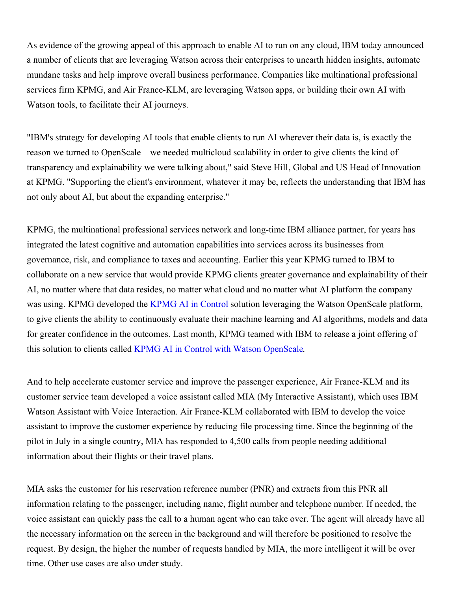As evidence of the growing appeal of this approach to enable AI to run on any cloud, IBM today announced a number of clients that are leveraging Watson across their enterprises to unearth hidden insights, automate mundane tasks and help improve overall business performance. Companies like multinational professional services firm KPMG, and Air France-KLM, are leveraging Watson apps, or building their own AI with Watson tools, to facilitate their AI journeys.

"IBM's strategy for developing AI tools that enable clients to run AI wherever their data is, is exactly the reason we turned to OpenScale – we needed multicloud scalability in order to give clients the kind of transparency and explainability we were talking about," said Steve Hill, Global and US Head of Innovation at KPMG. "Supporting the client's environment, whatever it may be, reflects the understanding that IBM has not only about AI, but about the expanding enterprise."

KPMG, the multinational professional services network and long-time IBM alliance partner, for years has integrated the latest cognitive and automation capabilities into services across its businesses from governance, risk, and compliance to taxes and accounting. Earlier this year KPMG turned to IBM to collaborate on a new service that would provide KPMG clients greater governance and explainability of their AI, no matter where that data resides, no matter what cloud and no matter what AI platform the company was using. KPMG developed the KPMG AI in [Control](https://c212.net/c/link/?t=0&l=en&o=2616407-1&h=1287399124&u=https%3A%2F%2Furldefense.proofpoint.com%2Fv2%2Furl%3Fu%3Dhttps-3A__advisory.kpmg.us_articles_2019_kpmg-2Dartificial-2Dintelligence-2Din-2Dcontrol.html%26d%3DDwMGaQ%26c%3Djf_iaSHvJObTbx-siA1ZOg%26r%3DjAOsLLcxN_LYGcB--ML2BQCv2GFI8V-mafBZO3sCcHE%26m%3Dg_Q61CIWPvgDXVOTmodDz_lBFKZeqsCvazwAQsSXWoY%26s%3DjWOiFD0CXtN8HJOY07hocNmy95GvNRagg1n0OxaEmOw%26e%3D&a=KPMG+AI+in+Control) solution leveraging the Watson OpenScale platform, to give clients the ability to continuously evaluate their machine learning and AI algorithms, models and data for greater confidence in the outcomes. Last month, KPMG teamed with IBM to release a joint offering of this solution to clients called KPMG AI in Control with Watson [OpenScale](https://c212.net/c/link/?t=0&l=en&o=2616407-1&h=3640306892&u=https%3A%2F%2Furldefense.proofpoint.com%2Fv2%2Furl%3Fu%3Dhttps-3A__home.kpmg_us_en_home_insights_2019_09_ai-2Dwatson-2Dopenscale-2Dkpmg.html%26d%3DDwMGaQ%26c%3Djf_iaSHvJObTbx-siA1ZOg%26r%3DjAOsLLcxN_LYGcB--ML2BQCv2GFI8V-mafBZO3sCcHE%26m%3Dg_Q61CIWPvgDXVOTmodDz_lBFKZeqsCvazwAQsSXWoY%26s%3DGANgsnLxEUtsFBY3UuTviRY-CKkgUsGLRebQMAYKkHk%26e%3D&a=KPMG+AI+in+Control+with+Watson+OpenScale).

And to help accelerate customer service and improve the passenger experience, Air France-KLM and its customer service team developed a voice assistant called MIA (My Interactive Assistant), which uses IBM Watson Assistant with Voice Interaction. Air France-KLM collaborated with IBM to develop the voice assistant to improve the customer experience by reducing file processing time. Since the beginning of the pilot in July in a single country, MIA has responded to 4,500 calls from people needing additional information about their flights or their travel plans.

MIA asks the customer for his reservation reference number (PNR) and extracts from this PNR all information relating to the passenger, including name, flight number and telephone number. If needed, the voice assistant can quickly pass the call to a human agent who can take over. The agent will already have all the necessary information on the screen in the background and will therefore be positioned to resolve the request. By design, the higher the number of requests handled by MIA, the more intelligent it will be over time. Other use cases are also under study.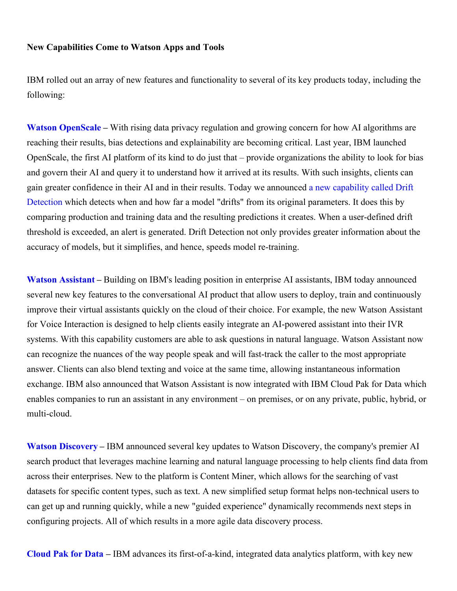#### **New Capabilities Come to Watson Apps and Tools**

IBM rolled out an array of new features and functionality to several of its key products today, including the following:

**Watson [OpenScale](https://c212.net/c/link/?t=0&l=en&o=2616407-1&h=3135824075&u=https%3A%2F%2Fwww.ibm.com%2Fcloud%2Fwatson-openscale%2Fdrift&a=Watson+OpenScale)** – With rising data privacy regulation and growing concern for how AI algorithms are reaching their results, bias detections and explainability are becoming critical. Last year, IBM launched OpenScale, the first AI platform of its kind to do just that – provide organizations the ability to look for bias and govern their AI and query it to understand how it arrived at its results. With such insights, clients can gain greater confidence in their AI and in their results. Today we announced a new capability called Drift Detection which detects when and how far a model "drifts" from its original [parameters.](https://c212.net/c/link/?t=0&l=en&o=2616407-1&h=455803116&u=https%3A%2F%2Fwww.ibm.com%2Fcloud%2Fwatson-openscale%2Fdrift&a=a+new+capability+called+Drift+Detection) It does this by comparing production and training data and the resulting predictions it creates. When a user-defined drift threshold is exceeded, an alert is generated. Drift Detection not only provides greater information about the accuracy of models, but it simplifies, and hence, speeds model re-training.

**Watson [Assistant](https://c212.net/c/link/?t=0&l=en&o=2616407-1&h=3433938025&u=https%3A%2F%2Fwww.ibm.com%2Fcloud%2Fwatson-assistant%2F&a=Watson+Assistant) –** Building on IBM's leading position in enterprise AI assistants, IBM today announced several new key features to the conversational AI product that allow users to deploy, train and continuously improve their virtual assistants quickly on the cloud of their choice. For example, the new Watson Assistant for Voice Interaction is designed to help clients easily integrate an AI-powered assistant into their IVR systems. With this capability customers are able to ask questions in natural language. Watson Assistant now can recognize the nuances of the way people speak and will fast-track the caller to the most appropriate answer. Clients can also blend texting and voice at the same time, allowing instantaneous information exchange. IBM also announced that Watson Assistant is now integrated with IBM Cloud Pak for Data which enables companies to run an assistant in any environment – on premises, or on any private, public, hybrid, or multi-cloud.

**Watson [Discovery](https://c212.net/c/link/?t=0&l=en&o=2616407-1&h=1217480362&u=https%3A%2F%2Fwww.ibm.com%2Fcloud%2Fwatson-discovery&a=Watson+Discovery) –** IBM announced several key updates to Watson Discovery, the company's premier AI search product that leverages machine learning and natural language processing to help clients find data from across their enterprises. New to the platform is Content Miner, which allows for the searching of vast datasets for specific content types, such as text. A new simplified setup format helps non-technical users to can get up and running quickly, while a new "guided experience" dynamically recommends next steps in configuring projects. All of which results in a more agile data discovery process.

**[Cloud](https://c212.net/c/link/?t=0&l=en&o=2616407-1&h=3117184412&u=https%3A%2F%2Fwww.ibm.com%2Fproducts%2Fcloud-pak-for-data%3Fcm_mmc%3DSearch_Google-_-Hybrid%2BCloud_Cloud%2BPrivate%2Bfor%2BData-_-WW_NA-_-%252Bcloud%2520%252Bpak%2520for%2520%252Bdata_b%26cm_mmca1%3D000032KK%26cm_mmca2%3D10008729%26cm_mmca7%3D9005566%26cm_mmca8%3Dkwd-768964236705%26cm_mmca9%3DCjwKCAjw5_DsBRBPEiwAIEDRW27iq9hruqzDfIUsrkorjPtWVqC-FWSj8VuIrt-S-QJ59h-6Uc8WuxoCgrEQAvD_BwE%26cm_mmca10%3D375798638529%26cm_mmca11%3Db%26gclid%3DCjwKCAjw5_DsBRBPEiwAIEDRW27iq9hruqzDfIUsrkorjPtWVqC-FWSj8VuIrt-S-QJ59h-6Uc8WuxoCgrEQAvD_BwE%26gclsrc%3Daw.ds&a=Cloud+Pak+for+Data) Pak for Data –** IBM advances its first-of-a-kind, integrated data analytics platform, with key new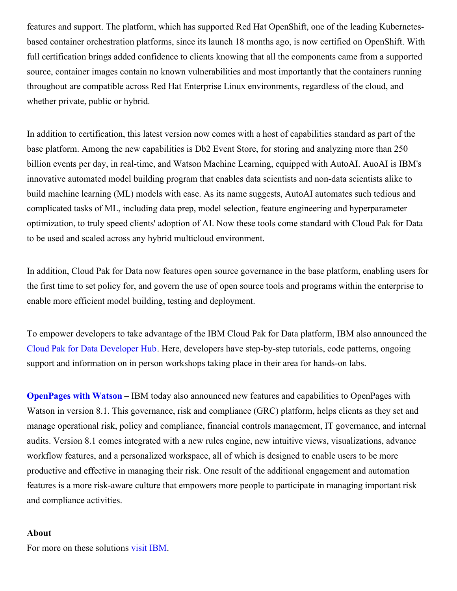features and support. The platform, which has supported Red Hat OpenShift, one of the leading Kubernetesbased container orchestration platforms, since its launch 18 months ago, is now certified on OpenShift. With full certification brings added confidence to clients knowing that all the components came from a supported source, container images contain no known vulnerabilities and most importantly that the containers running throughout are compatible across Red Hat Enterprise Linux environments, regardless of the cloud, and whether private, public or hybrid.

In addition to certification, this latest version now comes with a host of capabilities standard as part of the base platform. Among the new capabilities is Db2 Event Store, for storing and analyzing more than 250 billion events per day, in real-time, and Watson Machine Learning, equipped with AutoAI. AuoAI is IBM's innovative automated model building program that enables data scientists and non-data scientists alike to build machine learning (ML) models with ease. As its name suggests, AutoAI automates such tedious and complicated tasks of ML, including data prep, model selection, feature engineering and hyperparameter optimization, to truly speed clients' adoption of AI. Now these tools come standard with Cloud Pak for Data to be used and scaled across any hybrid multicloud environment.

In addition, Cloud Pak for Data now features open source governance in the base platform, enabling users for the first time to set policy for, and govern the use of open source tools and programs within the enterprise to enable more efficient model building, testing and deployment.

To empower developers to take advantage of the IBM Cloud Pak for Data platform, IBM also announced the Cloud Pak for Data [Developer](https://c212.net/c/link/?t=0&l=en&o=2616407-1&h=4276843328&u=https%3A%2F%2Fdeveloper.ibm.com%2Fcomponents%2Fcloud-pak-for-data%2F&a=Cloud+Pak+for+Data+Developer+Hub) Hub. Here, developers have step-by-step tutorials, code patterns, ongoing support and information on in person workshops taking place in their area for hands-on labs.

**[OpenPages](https://c212.net/c/link/?t=0&l=en&o=2616407-1&h=2060339945&u=https%3A%2F%2Fwww.ibm.com%2Fus-en%2Fmarketplace%2Fgovernance-risk-and-compliance&a=OpenPages+with+Watson) with Watson –** IBM today also announced new features and capabilities to OpenPages with Watson in version 8.1. This governance, risk and compliance (GRC) platform, helps clients as they set and manage operational risk, policy and compliance, financial controls management, IT governance, and internal audits. Version 8.1 comes integrated with a new rules engine, new intuitive views, visualizations, advance workflow features, and a personalized workspace, all of which is designed to enable users to be more productive and effective in managing their risk. One result of the additional engagement and automation features is a more risk-aware culture that empowers more people to participate in managing important risk and compliance activities.

### **About**

For more on these solutions visit [IBM](https://c212.net/c/link/?t=0&l=en&o=2616407-1&h=3063621345&u=https%3A%2F%2Fwww.ibm.com%2Fanalytics%2Fproducts&a=visit+IBM).